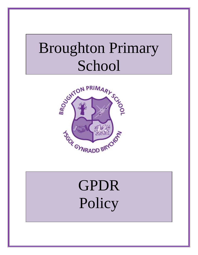# Broughton Primary School



# GPDR **Policy**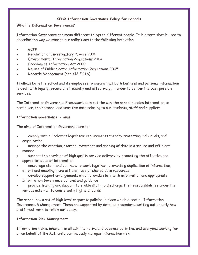# **GPDR Information Governance Policy for Schools**

# **What is Information Governance?**

Information Governance can mean different things to different people. It is a term that is used to describe the way we manage our obligations to the following legislation:

- GDPR
- Regulation of Investigatory Powers 2000
- Environmental Information Regulations 2004
- Freedom of Information Act 2000
- Re-use of Public Sector Information Regulations 2005
- Records Management (cop s46 FOIA)

It allows both the school and its employees to ensure that both business and personal information is dealt with legally, securely, efficiently and effectively, in order to deliver the best possible services.

The Information Governance Framework sets out the way the school handles information, in particular, the personal and sensitive data relating to our students, staff and suppliers

# **Information Governance - aims**

The aims of Information Governance are to:

- comply with all relevant legislative requirements thereby protecting individuals, and organisation
- manage the creation, storage, movement and sharing of data in a secure and efficient manner
- support the provision of high quality service delivery by promoting the effective and appropriate use of information
- encourage staff and partners to work together, preventing duplication of information, effort and enabling more efficient use of shared data resources
- develop support arrangements which provide staff with information and appropriate Information Governance policies and guidance
- provide training and support to enable staff to discharge their responsibilities under the various acts - all to consistently high standards

The school has a set of high level corporate policies in place which direct all Information Governance & Management. These are supported by detailed procedures setting out exactly how staff must work to follow our policy.

## **Information Risk Management**

Information risk is inherent in all administrative and business activities and everyone working for or on behalf of the Authority continuously manages information risk.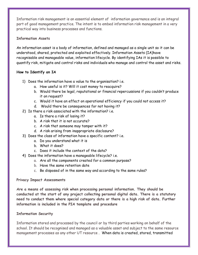Information risk management is an essential element of information governance and is an integral part of good management practice. The intent is to embed information risk management in a very practical way into business processes and functions.

# **Information Assets**

An information asset is a body of information, defined and managed as a single unit so it can be understood, shared, protected and exploited effectively. Information Assets (IA)have recognisable and manageable value, information lifecycle. By identifying IAs it is possible to quantify risk, mitigate and control risks and individuals who manage and control the asset and risks.

# **How to Identify an IA**

- 1) Does the information have a value to the organisation? i.e.
	- a. How useful is it? Will it cost money to reacquire?
	- b. Would there be legal, reputational or financial repercussions if you couldn't produce it on request?
	- c. Would it have an effect on operational efficiency if you could not access it?
	- d. Would there be consequences for not having it?
- 2) Is there a risk associated with the information? i.e.
	- a. Is there a risk of losing it?
	- b. A risk that it is not accurate?
	- c. A risk that someone may tamper with it?
	- d. A risk arising from inappropriate disclosure?
- 3) Does the class of information have a specific content? i.e.
	- a. Do you understand what it is
	- b. What it does?
	- c. Does it include the context of the data?
- 4) Does the information have a manageable lifecycle? i.e.
	- a. Are all the components created for a common purpose?
	- b. Have the same retention date
	- c. Be disposed of in the same way and according to the same rules?

# **Privacy Impact Assessments**

**Are a means of assessing risk when processing personal information. They should be conducted at the start of any project collecting personal digital data. There is a statutory need to conduct them where special category data or there is a high risk of data. Further information is included in the PIA template and procedure**

# **Information Security**

Information stored and processed by the council or by third parties working on behalf of the school. It should be recognised and managed as a valuable asset and subject to the same resource management processes as any other UT resource . When data is created, stored, transmitted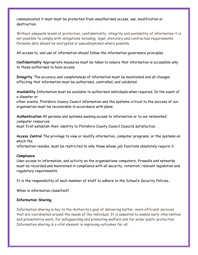communicated it must must be protected from unauthorised access, use, modification or destruction.

Without adequate levels of protection, confidentiality, integrity and availability of information it is not possible to comply with obligations including legal, statutory and contractual requirements. Personal data should be encrypted or pseudonymised where possible.

All access to, and use of information should follow the information governance principles

**Confidentiality** Appropriate measures must be taken to ensure that information is accessible only to those authorised to have access.

**Integrity** The accuracy and completeness of information must be maintained and all changes affecting that information must be authorised, controlled, and validated.

**Availability** Information must be available to authorised individuals when required. In the event of a disaster or

other events, Flintshire Councy Council information and the systems critical to the success of our organisation must be recoverable in accordance with plans.

**Authentication** All persons and systems seeking access to information or to our networked computer resources must first establish their identity to Flintshire County Council Councils satisfaction.

**Access Control** The privilege to view or modify information, computer programs, or the systems on which the

information resides, must be restricted to only those whose job functions absolutely require it.

## **Compliance**

User access to information, and activity on the organisations computers, firewalls and networks must be recorded and maintained in compliance with all security, retention, relevant legislation and regulatory requirements.

It is the responsibility of each member of staff to adhere to the School's Security Policies.**.**

When is information classified?

# **Information Sharing**

Information sharing is key to the Authority's goal of delivering better, more efficient services that are coordinated around the needs of the individual. It is essential to enable early intervention and preventative work, for safeguarding and promoting welfare and for wider public protection. Information sharing is a vital element in improving outcomes for all.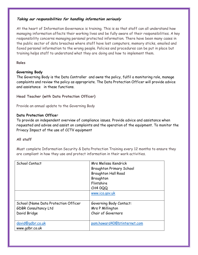# **Taking our responsibilities for handling information seriously**

At the heart of Information Governance is training. This is so that staff can all understand how managing information affects their working lives and be fully aware of their responsibilities. A key responsibility concerns managing personal protected information. There have been many cases in the public sector of data breaches where staff have lost computers, memory sticks, emailed and faxed personal information to the wrong people. Policies and procedures can be put in place but training helps staff to understand what they are doing and how to implement them.

# **Roles**

# **Governing Body**

The Governing Body is the Data Controller and owns the policy, fulfil a monitoring role, manage complaints and review the policy as appropriate. The Data Protection Officer will provide advice and assistance in these functions.

**Head Teacher (with Data Protection Officer)**

Provide an annual update to the Governing Body

# **Data Protection Office**r

To provide an independent overview of compliance issues. Provide advice and assistance when requested and advise and assist on complaints and the operation of the equipment. To monitor the Privacy Impact of the use of CCTV equipment

# **All staff**

Must complete Information Security & Data Protection Training every 12 months to ensure they are compliant in how they use and protect information in their work activities.

| School Contact                                                                      | Mrs Melissa Kendrick<br><b>Broughton Primary School</b><br><b>Broughton Hall Road</b><br>Broughton<br>Flintshire<br>CH4 OQQ |
|-------------------------------------------------------------------------------------|-----------------------------------------------------------------------------------------------------------------------------|
|                                                                                     | www.ico.gov.uk                                                                                                              |
| School (Name Data Protection Officer<br><b>GDBR Consultancy Ltd</b><br>David Bridge | Governing Body Contact:<br>Mrs P Millington<br>Chair of Governors                                                           |
| david@qdbr.co.uk<br>www.gdbr.co.uk                                                  | pam.howard40@btinternet.com                                                                                                 |